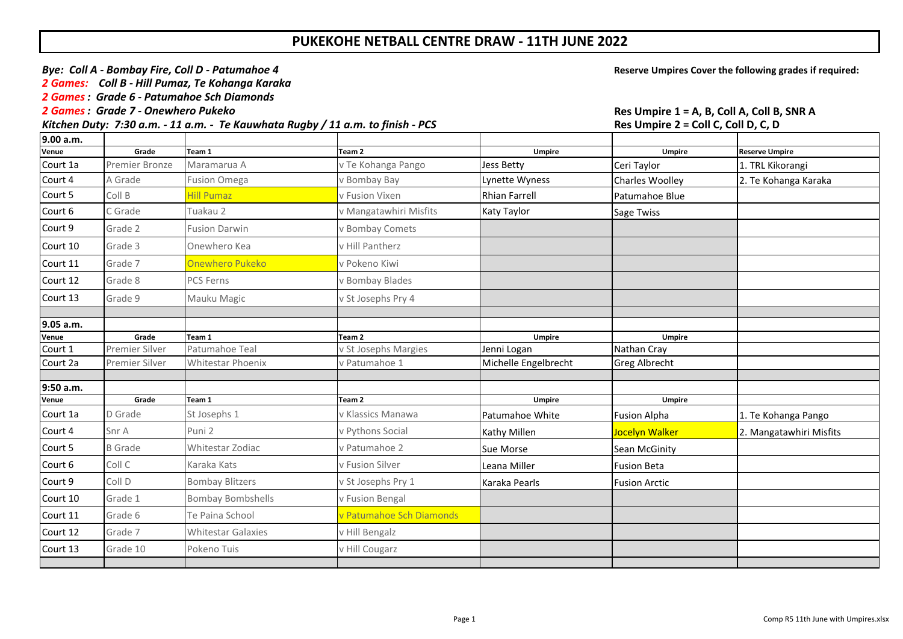## **PUKEKOHE NETBALL CENTRE DRAW - 11TH JUNE 2022**

*Bye:* Coll A - Bombay Fire, Coll D - Patumahoe 4 *Bye:* Coll A - Bombay Fire, Coll D - Patumahoe 4 *Bye:* Cover the following grades if required:

*2 Games: Coll B - Hill Pumaz, Te Kohanga Karaka*

*2 Games: Grade 6 - Patumahoe Sch Diamonds*

*Kitchen Duty: 7:30 a.m. - 11 a.m. - Te Kauwhata Ruaby / 11 a.m. to finish - PCS* 

|                  |                         |                           |                                           | $1.33$ can prove the control control of $\sim$ |                              |                         |
|------------------|-------------------------|---------------------------|-------------------------------------------|------------------------------------------------|------------------------------|-------------------------|
| 9.00 a.m.        |                         |                           |                                           |                                                |                              |                         |
| Venue            | Grade                   | Team 1                    | Team 2                                    | <b>Umpire</b>                                  | <b>Umpire</b>                | <b>Reserve Umpire</b>   |
| Court 1a         | Premier Bronze          | Maramarua A               | v Te Kohanga Pango                        | Jess Betty                                     | Ceri Taylor                  | 1. TRL Kikorangi        |
| Court 4          | A Grade                 | <b>Fusion Omega</b>       | v Bombay Bay                              | Lynette Wyness                                 | <b>Charles Woolley</b>       | 2. Te Kohanga Karaka    |
| Court 5          | Coll B                  | <b>Hill Pumaz</b>         | v Fusion Vixen                            | <b>Rhian Farrell</b>                           | Patumahoe Blue               |                         |
| Court 6          | C Grade                 | Tuakau 2                  | v Mangatawhiri Misfits                    | Katy Taylor                                    | Sage Twiss                   |                         |
| Court 9          | Grade 2                 | <b>Fusion Darwin</b>      | v Bombay Comets                           |                                                |                              |                         |
| Court 10         | Grade 3                 | Onewhero Kea              | v Hill Pantherz                           |                                                |                              |                         |
| Court 11         | Grade 7                 | <b>Onewhero Pukeko</b>    | v Pokeno Kiwi                             |                                                |                              |                         |
| Court 12         | Grade 8                 | PCS Ferns                 | v Bombay Blades                           |                                                |                              |                         |
| Court 13         | Grade 9                 | Mauku Magic               | v St Josephs Pry 4                        |                                                |                              |                         |
|                  |                         |                           |                                           |                                                |                              |                         |
| 9.05 a.m.        |                         |                           |                                           |                                                |                              |                         |
| Venue<br>Court 1 | Grade<br>Premier Silver | Team 1<br>Patumahoe Teal  | Team <sub>2</sub><br>v St Josephs Margies | <b>Umpire</b><br>Jenni Logan                   | <b>Umpire</b><br>Nathan Cray |                         |
| Court 2a         | Premier Silver          | Whitestar Phoenix         | v Patumahoe 1                             | Michelle Engelbrecht                           | <b>Greg Albrecht</b>         |                         |
|                  |                         |                           |                                           |                                                |                              |                         |
| 9:50 a.m.        |                         |                           |                                           |                                                |                              |                         |
| Venue            | Grade                   | Team 1                    | Team 2                                    | <b>Umpire</b>                                  | <b>Umpire</b>                |                         |
| Court 1a         | D Grade                 | St Josephs 1              | v Klassics Manawa                         | Patumahoe White                                | <b>Fusion Alpha</b>          | 1. Te Kohanga Pango     |
| Court 4          | Snr A                   | Puni 2                    | v Pythons Social                          | Kathy Millen                                   | Jocelyn Walker               | 2. Mangatawhiri Misfits |
| Court 5          | <b>B</b> Grade          | Whitestar Zodiac          | v Patumahoe 2                             | Sue Morse                                      | Sean McGinity                |                         |
| Court 6          | Coll C                  | Karaka Kats               | v Fusion Silver                           | Leana Miller                                   | <b>Fusion Beta</b>           |                         |
| Court 9          | Coll D                  | <b>Bombay Blitzers</b>    | v St Josephs Pry 1                        | Karaka Pearls                                  | <b>Fusion Arctic</b>         |                         |
| Court 10         | Grade 1                 | <b>Bombay Bombshells</b>  | v Fusion Bengal                           |                                                |                              |                         |
| Court 11         | Grade 6                 | Te Paina School           | v Patumahoe Sch Diamonds                  |                                                |                              |                         |
| Court 12         | Grade 7                 | <b>Whitestar Galaxies</b> | v Hill Bengalz                            |                                                |                              |                         |
| Court 13         | Grade 10                | Pokeno Tuis               | v Hill Cougarz                            |                                                |                              |                         |
|                  |                         |                           |                                           |                                                |                              |                         |

**2 Games: A Games: Grade 7 - Ones Coll A, Coll B, SNR A**<br>**Res Umpire 2 = Coll C, Coll D, C, D**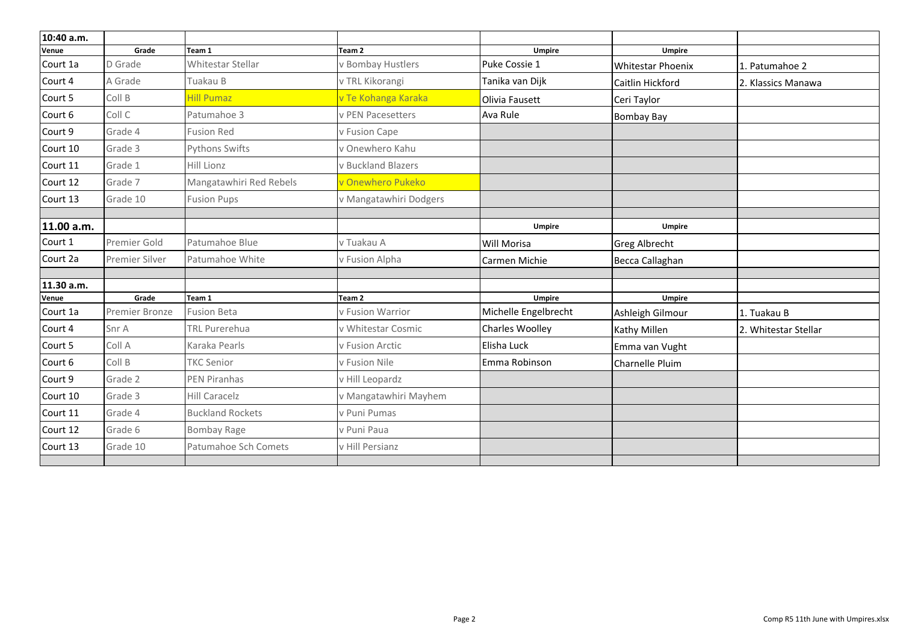| 10:40 a.m. |                |                         |                        |                      |                          |                      |
|------------|----------------|-------------------------|------------------------|----------------------|--------------------------|----------------------|
| Venue      | Grade          | Team 1                  | Team 2                 | Umpire               | <b>Umpire</b>            |                      |
| Court 1a   | D Grade        | Whitestar Stellar       | v Bombay Hustlers      | Puke Cossie 1        | <b>Whitestar Phoenix</b> | 1. Patumahoe 2       |
| Court 4    | A Grade        | Tuakau B                | v TRL Kikorangi        | Tanika van Dijk      | Caitlin Hickford         | 2. Klassics Manawa   |
| Court 5    | Coll B         | <b>Hill Pumaz</b>       | v Te Kohanga Karaka    | Olivia Fausett       | Ceri Taylor              |                      |
| Court 6    | Coll C         | Patumahoe 3             | v PEN Pacesetters      | Ava Rule             | <b>Bombay Bay</b>        |                      |
| Court 9    | Grade 4        | <b>Fusion Red</b>       | v Fusion Cape          |                      |                          |                      |
| Court 10   | Grade 3        | Pythons Swifts          | v Onewhero Kahu        |                      |                          |                      |
| Court 11   | Grade 1        | Hill Lionz              | v Buckland Blazers     |                      |                          |                      |
| Court 12   | Grade 7        | Mangatawhiri Red Rebels | Onewhero Pukeko        |                      |                          |                      |
| Court 13   | Grade 10       | <b>Fusion Pups</b>      | v Mangatawhiri Dodgers |                      |                          |                      |
|            |                |                         |                        |                      |                          |                      |
| 11.00 a.m. |                |                         |                        | <b>Umpire</b>        | Umpire                   |                      |
| Court 1    | Premier Gold   | Patumahoe Blue          | v Tuakau A             | Will Morisa          | <b>Greg Albrecht</b>     |                      |
| Court 2a   | Premier Silver | Patumahoe White         | v Fusion Alpha         | Carmen Michie        | Becca Callaghan          |                      |
|            |                |                         |                        |                      |                          |                      |
| 11.30 a.m. |                |                         |                        |                      |                          |                      |
| Venue      | Grade          | Team 1                  | Team <sub>2</sub>      | <b>Umpire</b>        | <b>Umpire</b>            |                      |
| Court 1a   | Premier Bronze | <b>Fusion Beta</b>      | v Fusion Warrior       | Michelle Engelbrecht | Ashleigh Gilmour         | 1. Tuakau B          |
| Court 4    | Snr A          | <b>TRL Purerehua</b>    | v Whitestar Cosmic     | Charles Woolley      | Kathy Millen             | 2. Whitestar Stellar |
| Court 5    | Coll A         | Karaka Pearls           | v Fusion Arctic        | Elisha Luck          | Emma van Vught           |                      |
| Court 6    | Coll B         | <b>TKC Senior</b>       | v Fusion Nile          | Emma Robinson        | Charnelle Pluim          |                      |
| Court 9    | Grade 2        | <b>PEN Piranhas</b>     | v Hill Leopardz        |                      |                          |                      |
| Court 10   | Grade 3        | Hill Caracelz           | v Mangatawhiri Mayhem  |                      |                          |                      |
| Court 11   | Grade 4        | <b>Buckland Rockets</b> | v Puni Pumas           |                      |                          |                      |
| Court 12   | Grade 6        | <b>Bombay Rage</b>      | v Puni Paua            |                      |                          |                      |
| Court 13   | Grade 10       | Patumahoe Sch Comets    | v Hill Persianz        |                      |                          |                      |
|            |                |                         |                        |                      |                          |                      |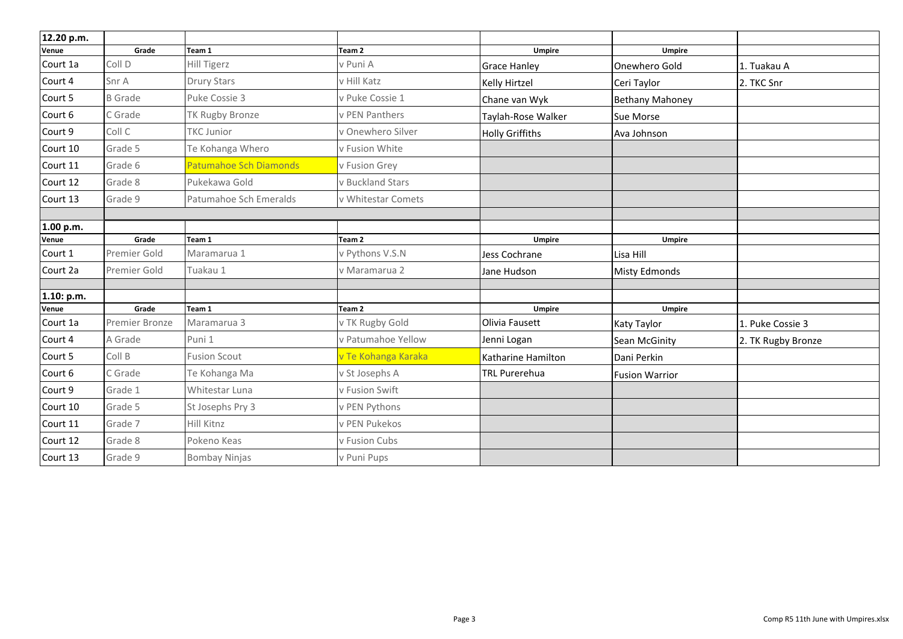| 12.20 p.m.        |                         |                        |                                      |                          |                        |                    |
|-------------------|-------------------------|------------------------|--------------------------------------|--------------------------|------------------------|--------------------|
| Venue             | Grade                   | Team 1                 | Team <sub>2</sub>                    | Umpire                   | <b>Umpire</b>          |                    |
| Court 1a          | Coll D                  | Hill Tigerz            | v Puni A                             | <b>Grace Hanley</b>      | Onewhero Gold          | 1. Tuakau A        |
| Court 4           | Snr A                   | Drury Stars            | v Hill Katz                          | Kelly Hirtzel            | Ceri Taylor            | 2. TKC Snr         |
| Court 5           | <b>B</b> Grade          | Puke Cossie 3          | v Puke Cossie 1                      | Chane van Wyk            | <b>Bethany Mahoney</b> |                    |
| Court 6           | C Grade                 | TK Rugby Bronze        | v PEN Panthers                       | Taylah-Rose Walker       | Sue Morse              |                    |
| Court 9           | Coll C                  | <b>TKC Junior</b>      | v Onewhero Silver                    | <b>Holly Griffiths</b>   | Ava Johnson            |                    |
| Court 10          | Grade 5                 | Te Kohanga Whero       | v Fusion White                       |                          |                        |                    |
| Court 11          | Grade 6                 | Patumahoe Sch Diamonds | v Fusion Grey                        |                          |                        |                    |
| Court 12          | Grade 8                 | Pukekawa Gold          | v Buckland Stars                     |                          |                        |                    |
| Court 13          | Grade 9                 | Patumahoe Sch Emeralds | v Whitestar Comets                   |                          |                        |                    |
|                   |                         |                        |                                      |                          |                        |                    |
| 1.00 p.m.         |                         |                        |                                      |                          |                        |                    |
| Venue             | Grade                   | Team 1                 | Team 2                               | <b>Umpire</b>            | <b>Umpire</b>          |                    |
| Court 1           | Premier Gold            | Maramarua 1            | v Pythons V.S.N                      | Jess Cochrane            | Lisa Hill              |                    |
| Court 2a          | Premier Gold            | Tuakau 1               | v Maramarua 2                        | Jane Hudson              | <b>Misty Edmonds</b>   |                    |
|                   |                         |                        |                                      |                          |                        |                    |
| 1.10: p.m.        |                         |                        |                                      |                          |                        |                    |
| Venue<br>Court 1a | Grade<br>Premier Bronze | Team 1<br>Maramarua 3  | Team <sub>2</sub><br>v TK Rugby Gold | Umpire<br>Olivia Fausett | <b>Umpire</b>          |                    |
|                   |                         |                        |                                      |                          | <b>Katy Taylor</b>     | 1. Puke Cossie 3   |
| Court 4           | A Grade                 | Puni 1                 | v Patumahoe Yellow                   | Jenni Logan              | Sean McGinity          | 2. TK Rugby Bronze |
| Court 5           | Coll B                  | <b>Fusion Scout</b>    | v Te Kohanga Karaka                  | Katharine Hamilton       | Dani Perkin            |                    |
| Court 6           | C Grade                 | Te Kohanga Ma          | v St Josephs A                       | <b>TRL Purerehua</b>     | <b>Fusion Warrior</b>  |                    |
| Court 9           | Grade 1                 | Whitestar Luna         | v Fusion Swift                       |                          |                        |                    |
| Court 10          | Grade 5                 | St Josephs Pry 3       | v PEN Pythons                        |                          |                        |                    |
| Court 11          | Grade 7                 | Hill Kitnz             | v PEN Pukekos                        |                          |                        |                    |
| Court 12          | Grade 8                 | Pokeno Keas            | v Fusion Cubs                        |                          |                        |                    |
| Court 13          | Grade 9                 | <b>Bombay Ninjas</b>   | v Puni Pups                          |                          |                        |                    |